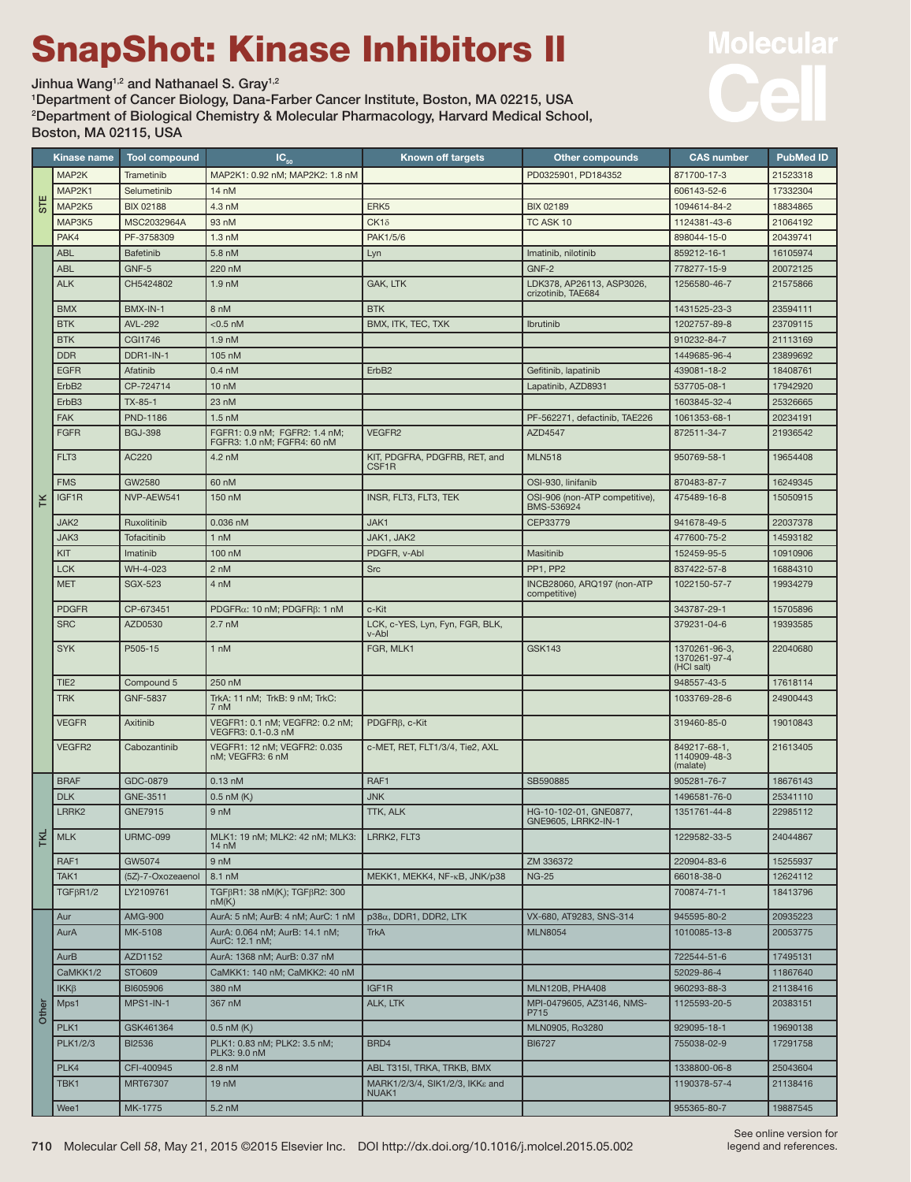## SnapShot: Kinase Inhibitors II

Jinhua Wang<sup>1,2</sup> and Nathanael S. Gray<sup>1,2</sup>

1 Department of Cancer Biology, Dana-Farber Cancer Institute, Boston, MA 02215, USA 2 Department of Biological Chemistry & Molecular Pharmacology, Harvard Medical School, Boston, MA 02115, USA



|                  | Kinase name       | <b>Tool compound</b> | $IC_{50}$                                                    | <b>Known off targets</b>                           | <b>Other compounds</b>                        | <b>CAS number</b>                           | <b>PubMed ID</b> |
|------------------|-------------------|----------------------|--------------------------------------------------------------|----------------------------------------------------|-----------------------------------------------|---------------------------------------------|------------------|
| <b>STE</b>       | MAP2K             | Trametinib           | MAP2K1: 0.92 nM; MAP2K2: 1.8 nM                              |                                                    | PD0325901, PD184352                           | 871700-17-3                                 | 21523318         |
|                  | MAP2K1            | Selumetinib          | 14 nM                                                        |                                                    |                                               | 606143-52-6                                 | 17332304         |
|                  | MAP2K5            | <b>BIX 02188</b>     | 4.3 nM                                                       | ERK <sub>5</sub>                                   | <b>BIX 02189</b>                              | 1094614-84-2                                | 18834865         |
|                  | MAP3K5            | MSC2032964A          | 93 nM                                                        | $CK1\delta$                                        | TC ASK 10                                     | 1124381-43-6                                | 21064192         |
|                  | PAK4              | PF-3758309           | $1.3 \text{ nM}$                                             | PAK1/5/6                                           |                                               | 898044-15-0                                 | 20439741         |
| K                | <b>ABL</b>        | Bafetinib            | 5.8 nM                                                       | Lyn                                                | Imatinib, nilotinib                           | 859212-16-1                                 | 16105974         |
|                  | <b>ABL</b>        | GNF-5                | 220 nM                                                       |                                                    | GNF-2                                         | 778277-15-9                                 | 20072125         |
|                  | <b>ALK</b>        | CH5424802            | 1.9 <sub>nM</sub>                                            | GAK, LTK                                           | LDK378, AP26113, ASP3026,                     | 1256580-46-7                                | 21575866         |
|                  |                   |                      |                                                              |                                                    | crizotinib, TAE684                            |                                             |                  |
|                  | <b>BMX</b>        | BMX-IN-1             | 8 nM                                                         | <b>BTK</b>                                         |                                               | 1431525-23-3                                | 23594111         |
|                  | <b>BTK</b>        | <b>AVL-292</b>       | $<$ 0.5 nM                                                   | BMX, ITK, TEC, TXK                                 | Ibrutinib                                     | 1202757-89-8                                | 23709115         |
|                  | <b>BTK</b>        | <b>CGI1746</b>       | 1.9 <sub>nM</sub>                                            |                                                    |                                               | 910232-84-7                                 | 21113169         |
|                  | <b>DDR</b>        | DDR1-IN-1            | 105 nM                                                       |                                                    |                                               | 1449685-96-4                                | 23899692         |
|                  | <b>EGFR</b>       | Afatinib             | $0.4 \text{ nM}$                                             | ErbB <sub>2</sub>                                  | Gefitinib, lapatinib                          | 439081-18-2                                 | 18408761         |
|                  | ErbB <sub>2</sub> | CP-724714            | 10 <sub>nh</sub>                                             |                                                    | Lapatinib, AZD8931                            | 537705-08-1                                 | 17942920         |
|                  | ErbB3             | $TX-85-1$            | 23 nM                                                        |                                                    |                                               | 1603845-32-4                                | 25326665         |
|                  | <b>FAK</b>        | <b>PND-1186</b>      | $1.5 \text{ nM}$                                             |                                                    | PF-562271, defactinib, TAE226                 | 1061353-68-1                                | 20234191         |
|                  | <b>FGFR</b>       | <b>BGJ-398</b>       | FGFR1: 0.9 nM; FGFR2: 1.4 nM;<br>FGFR3: 1.0 nM; FGFR4: 60 nM | VEGFR2                                             | AZD4547                                       | 872511-34-7                                 | 21936542         |
|                  | FLT3              | AC220                | 4.2 nM                                                       | KIT, PDGFRA, PDGFRB, RET, and<br>CSF <sub>1R</sub> | <b>MLN518</b>                                 | 950769-58-1                                 | 19654408         |
|                  | <b>FMS</b>        | GW2580               | 60 nM                                                        |                                                    | OSI-930, linifanib                            | 870483-87-7                                 | 16249345         |
|                  | IGF1R             | NVP-AEW541           | 150 nM                                                       | INSR, FLT3, FLT3, TEK                              | OSI-906 (non-ATP competitive),<br>BMS-536924  | 475489-16-8                                 | 15050915         |
|                  | JAK2              | Ruxolitinib          | 0.036 nM                                                     | JAK1                                               | CEP33779                                      | 941678-49-5                                 | 22037378         |
|                  | JAK3              | Tofacitinib          | 1 nM                                                         | JAK1, JAK2                                         |                                               | 477600-75-2                                 | 14593182         |
|                  | KIT               | Imatinib             | 100 nM                                                       | PDGFR, v-Abl                                       | Masitinib                                     | 152459-95-5                                 | 10910906         |
|                  | <b>LCK</b>        | WH-4-023             | 2 nM                                                         | <b>Src</b>                                         | PP1, PP2                                      | 837422-57-8                                 | 16884310         |
|                  | <b>MET</b>        | <b>SGX-523</b>       | 4 nM                                                         |                                                    | INCB28060, ARQ197 (non-ATP                    | 1022150-57-7                                | 19934279         |
|                  |                   |                      |                                                              |                                                    | competitive)                                  |                                             |                  |
|                  | <b>PDGFR</b>      | CP-673451            | PDGFR $\alpha$ : 10 nM; PDGFR $\beta$ : 1 nM                 | c-Kit                                              |                                               | 343787-29-1                                 | 15705896         |
|                  | <b>SRC</b>        | AZD0530              | 2.7 <sub>nh</sub>                                            | LCK, c-YES, Lyn, Fyn, FGR, BLK,<br>v-Abl           |                                               | 379231-04-6                                 | 19393585         |
|                  | <b>SYK</b>        | P505-15              | 1 nM                                                         | FGR, MLK1                                          | <b>GSK143</b>                                 | 1370261-96-3,<br>1370261-97-4<br>(HCI salt) | 22040680         |
|                  | TIE <sub>2</sub>  | Compound 5           | 250 nM                                                       |                                                    |                                               | 948557-43-5                                 | 17618114         |
|                  | <b>TRK</b>        | <b>GNF-5837</b>      | TrkA: 11 nM; TrkB: 9 nM; TrkC:                               |                                                    |                                               | 1033769-28-6                                | 24900443         |
|                  |                   |                      | 7 nM                                                         |                                                    |                                               |                                             |                  |
|                  | <b>VEGFR</b>      | Axitinib             | VEGFR1: 0.1 nM; VEGFR2: 0.2 nM;<br>VEGFR3: 0.1-0.3 nM        | $PDGFR\beta$ , c-Kit                               |                                               | 319460-85-0                                 | 19010843         |
|                  | VEGFR2            | Cabozantinib         | VEGFR1: 12 nM: VEGFR2: 0.035<br>nM; VEGFR3: 6 nM             | c-MET, RET, FLT1/3/4, Tie2, AXL                    |                                               | 849217-68-1,<br>1140909-48-3<br>(malate)    | 21613405         |
| $ \vec{\kappa} $ | <b>BRAF</b>       | GDC-0879             | $0.13$ nM                                                    | RAF <sub>1</sub>                                   | SB590885                                      | 905281-76-7                                 | 18676143         |
|                  | <b>DLK</b>        | GNE-3511             | $0.5$ nM $(K)$                                               | <b>JNK</b>                                         |                                               | 1496581-76-0                                | 25341110         |
|                  | LRRK <sub>2</sub> | <b>GNE7915</b>       | 9 nM                                                         | TTK, ALK                                           | HG-10-102-01, GNE0877,<br>GNE9605, LRRK2-IN-1 | 1351761-44-8                                | 22985112         |
|                  | <b>MLK</b>        | <b>URMC-099</b>      | MLK1: 19 nM; MLK2: 42 nM; MLK3:<br>$14 \text{ nM}$           | LRRK2, FLT3                                        |                                               | 1229582-33-5                                | 24044867         |
|                  | RAF1              | GW5074               | 9 nM                                                         |                                                    | ZM 336372                                     | 220904-83-6                                 | 15255937         |
|                  | TAK1              | (5Z)-7-Oxozeaenol    | 8.1 nM                                                       | MEKK1, MEKK4, NF-KB, JNK/p38                       | <b>NG-25</b>                                  | 66018-38-0                                  | 12624112         |
|                  | $TGF\beta R1/2$   | LY2109761            | TGFβR1: 38 nM(K); TGFβR2: 300<br>nM(K)                       |                                                    |                                               | 700874-71-1                                 | 18413796         |
|                  | Aur               | <b>AMG-900</b>       | AurA: 5 nM; AurB: 4 nM; AurC: 1 nM                           | $p38\alpha$ , DDR1, DDR2, LTK                      | VX-680, AT9283, SNS-314                       | 945595-80-2                                 | 20935223         |
|                  | AurA              | MK-5108              | AurA: 0.064 nM; AurB: 14.1 nM;<br>AurC: 12.1 nM;             | <b>TrkA</b>                                        | <b>MLN8054</b>                                | 1010085-13-8                                | 20053775         |
|                  | AurB              | AZD1152              | AurA: 1368 nM; AurB: 0.37 nM                                 |                                                    |                                               | 722544-51-6                                 | 17495131         |
|                  | CaMKK1/2          | <b>STO609</b>        | CaMKK1: 140 nM; CaMKK2: 40 nM                                |                                                    |                                               | 52029-86-4                                  | 11867640         |
|                  | $IKK\beta$        | BI605906             | 380 nM                                                       | IGF1R                                              | MLN120B, PHA408                               | 960293-88-3                                 | 21138416         |
| Other            | Mps1              | MPS1-IN-1            | 367 nM                                                       | ALK, LTK                                           | MPI-0479605, AZ3146, NMS-<br>P715             | 1125593-20-5                                | 20383151         |
|                  | PLK1              | GSK461364            | $0.5$ nM $(Ki)$                                              |                                                    | MLN0905, Ro3280                               | 929095-18-1                                 | 19690138         |
|                  | <b>PLK1/2/3</b>   | <b>BI2536</b>        | PLK1: 0.83 nM; PLK2: 3.5 nM;<br>PLK3: 9.0 nM                 | BRD4                                               | <b>BI6727</b>                                 | 755038-02-9                                 | 17291758         |
|                  | PLK4              | CFI-400945           | $2.8 \text{ nM}$                                             | ABL T315I, TRKA, TRKB, BMX                         |                                               | 1338800-06-8                                | 25043604         |
|                  | TBK1              | MRT67307             | 19 nM                                                        | MARK1/2/3/4, SIK1/2/3, IKKε and                    |                                               | 1190378-57-4                                | 21138416         |
|                  | Wee1              | MK-1775              | 5.2 nM                                                       | NUAK1                                              |                                               | 955365-80-7                                 | 19887545         |
|                  |                   |                      |                                                              |                                                    |                                               |                                             |                  |